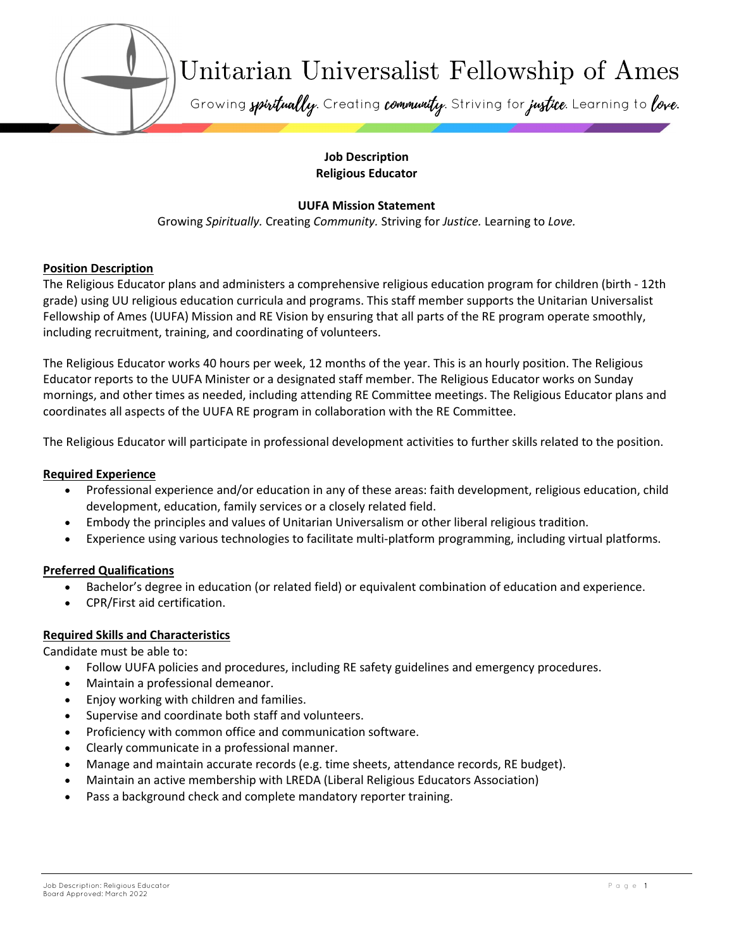

#### Job Description Religious Educator

# UUFA Mission Statement

Growing Spiritually. Creating Community. Striving for Justice. Learning to Love.

### Position Description

The Religious Educator plans and administers a comprehensive religious education program for children (birth - 12th grade) using UU religious education curricula and programs. This staff member supports the Unitarian Universalist Fellowship of Ames (UUFA) Mission and RE Vision by ensuring that all parts of the RE program operate smoothly, including recruitment, training, and coordinating of volunteers.

The Religious Educator works 40 hours per week, 12 months of the year. This is an hourly position. The Religious Educator reports to the UUFA Minister or a designated staff member. The Religious Educator works on Sunday mornings, and other times as needed, including attending RE Committee meetings. The Religious Educator plans and coordinates all aspects of the UUFA RE program in collaboration with the RE Committee.

The Religious Educator will participate in professional development activities to further skills related to the position.

### Required Experience

- Professional experience and/or education in any of these areas: faith development, religious education, child development, education, family services or a closely related field.
- Embody the principles and values of Unitarian Universalism or other liberal religious tradition.
- Experience using various technologies to facilitate multi-platform programming, including virtual platforms.

## Preferred Qualifications

- Bachelor's degree in education (or related field) or equivalent combination of education and experience.
- CPR/First aid certification.

## Required Skills and Characteristics

Candidate must be able to:

- Follow UUFA policies and procedures, including RE safety guidelines and emergency procedures.
- Maintain a professional demeanor.
- Enjoy working with children and families.
- Supervise and coordinate both staff and volunteers.
- Proficiency with common office and communication software.
- Clearly communicate in a professional manner.
- Manage and maintain accurate records (e.g. time sheets, attendance records, RE budget).
- Maintain an active membership with LREDA (Liberal Religious Educators Association)
- Pass a background check and complete mandatory reporter training.